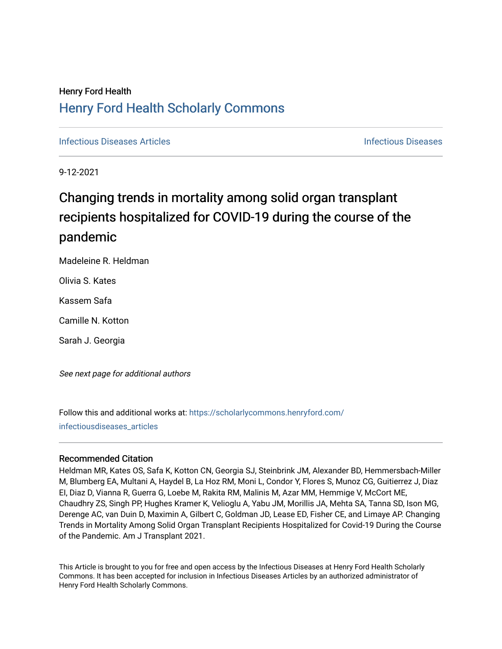## Henry Ford Health [Henry Ford Health Scholarly Commons](https://scholarlycommons.henryford.com/)

**[Infectious Diseases](https://scholarlycommons.henryford.com/infectiousdiseases) Articles** Infectious Diseases

9-12-2021

# Changing trends in mortality among solid organ transplant recipients hospitalized for COVID-19 during the course of the pandemic

Madeleine R. Heldman

Olivia S. Kates

Kassem Safa

Camille N. Kotton

Sarah J. Georgia

See next page for additional authors

Follow this and additional works at: [https://scholarlycommons.henryford.com/](https://scholarlycommons.henryford.com/infectiousdiseases_articles?utm_source=scholarlycommons.henryford.com%2Finfectiousdiseases_articles%2F159&utm_medium=PDF&utm_campaign=PDFCoverPages) [infectiousdiseases\\_articles](https://scholarlycommons.henryford.com/infectiousdiseases_articles?utm_source=scholarlycommons.henryford.com%2Finfectiousdiseases_articles%2F159&utm_medium=PDF&utm_campaign=PDFCoverPages) 

## Recommended Citation

Heldman MR, Kates OS, Safa K, Kotton CN, Georgia SJ, Steinbrink JM, Alexander BD, Hemmersbach-Miller M, Blumberg EA, Multani A, Haydel B, La Hoz RM, Moni L, Condor Y, Flores S, Munoz CG, Guitierrez J, Diaz EI, Diaz D, Vianna R, Guerra G, Loebe M, Rakita RM, Malinis M, Azar MM, Hemmige V, McCort ME, Chaudhry ZS, Singh PP, Hughes Kramer K, Velioglu A, Yabu JM, Morillis JA, Mehta SA, Tanna SD, Ison MG, Derenge AC, van Duin D, Maximin A, Gilbert C, Goldman JD, Lease ED, Fisher CE, and Limaye AP. Changing Trends in Mortality Among Solid Organ Transplant Recipients Hospitalized for Covid-19 During the Course of the Pandemic. Am J Transplant 2021.

This Article is brought to you for free and open access by the Infectious Diseases at Henry Ford Health Scholarly Commons. It has been accepted for inclusion in Infectious Diseases Articles by an authorized administrator of Henry Ford Health Scholarly Commons.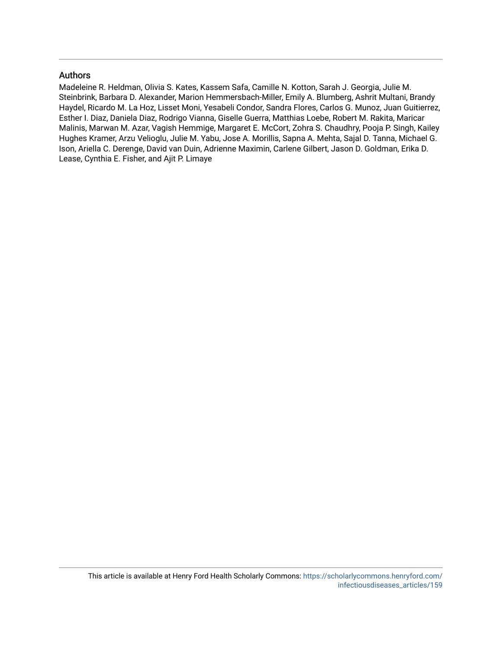## Authors

Madeleine R. Heldman, Olivia S. Kates, Kassem Safa, Camille N. Kotton, Sarah J. Georgia, Julie M. Steinbrink, Barbara D. Alexander, Marion Hemmersbach-Miller, Emily A. Blumberg, Ashrit Multani, Brandy Haydel, Ricardo M. La Hoz, Lisset Moni, Yesabeli Condor, Sandra Flores, Carlos G. Munoz, Juan Guitierrez, Esther I. Diaz, Daniela Diaz, Rodrigo Vianna, Giselle Guerra, Matthias Loebe, Robert M. Rakita, Maricar Malinis, Marwan M. Azar, Vagish Hemmige, Margaret E. McCort, Zohra S. Chaudhry, Pooja P. Singh, Kailey Hughes Kramer, Arzu Velioglu, Julie M. Yabu, Jose A. Morillis, Sapna A. Mehta, Sajal D. Tanna, Michael G. Ison, Ariella C. Derenge, David van Duin, Adrienne Maximin, Carlene Gilbert, Jason D. Goldman, Erika D. Lease, Cynthia E. Fisher, and Ajit P. Limaye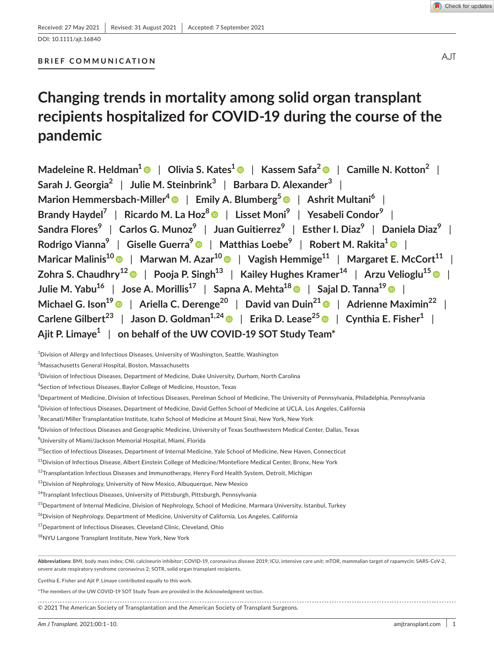DOI: 10.1111/ajt.16840

### **BRIEF COMMUNICATION**

# **Changing trends in mortality among solid organ transplant recipients hospitalized for COVID-19 during the course of the pandemic**

**Madeleine R. Heldman[1](https://orcid.org/0000-0002-9424-1870)** | **Olivia S. Kates1** | **Kassem Safa2** | **Camille N. Kotton2** | **Sarah J. Georgia2** | **Julie M. Steinbrink<sup>3</sup>** | **Barbara D. Alexander<sup>3</sup>** | **Marion Hemmersbach-Miller<sup>4</sup> • | Emily A. Blumberg<sup>[5](https://orcid.org/0000-0002-5193-6170)</sup> • | Ashrit Multani<sup>6</sup> | Brandy Haydel7** | **Ricardo M. La Hoz8** | **Lisset Moni9** | **Yesabeli Condor<sup>9</sup>** | **Sandra Flores9** | **Carlos G. Munoz<sup>9</sup>** | **Juan Guitierrez<sup>9</sup>** | **Esther I. Diaz<sup>9</sup>** | **Daniela Diaz<sup>9</sup>** | **Rodrigo Vianna9** | **Giselle Guerra[9](https://orcid.org/0000-0002-4098-4652)** | **Matthias Loebe9** | **Robert M. Rakita[1](https://orcid.org/0000-0001-8105-8455)** | **Maricar Malinis<sup>1[0](https://orcid.org/0000-0002-5720-9994)</sup> | Marwan M. Azar<sup>10</sup> | Vagish Hemmige<sup>11</sup> | Margaret E. McCort<sup>11</sup> | Zohra S. Chaudhry1[2](https://orcid.org/0000-0002-8733-2264)** | **Pooja P. Singh13** | **Kailey Hughes Kramer14** | **Arzu Velioglu15** | **Julie M. Yabu16** | **Jose A. Morillis17** | **Sapna A. Mehta18** | **Sajal D. Tanna19** | **Michael G. Ison19** | **Ariella C. Derenge20** | **David van Duin2[1](https://orcid.org/0000-0003-4784-3227)** | **Adrienne Maximin22** | **Carlene** Gilbert<sup>23</sup> | Jason D. Goldman<sup>1,2[4](https://orcid.org/0000-0002-3825-6832)</sup> | Erika D. Lease<sup>25</sup> | Cynthia E. Fisher<sup>1</sup> | **Ajit P. Limaye1** | **on behalf of the UW COVID-19 SOT Study Team\***

 $^{\rm 1}$ Division of Allergy and Infectious Diseases, University of Washington, Seattle, Washington

2 Massachusetts General Hospital, Boston, Massachusetts

 $^3$ Division of Infectious Diseases, Department of Medicine, Duke University, Durham, North Carolina

4 Section of Infectious Diseases, Baylor College of Medicine, Houston, Texas

5 Department of Medicine, Division of Infectious Diseases, Perelman School of Medicine, The University of Pennsylvania, Philadelphia, Pennsylvania

6 Division of Infectious Diseases, Department of Medicine, David Geffen School of Medicine at UCLA, Los Angeles, California

<sup>7</sup>Recanati/Miller Transplantation Institute, Icahn School of Medicine at Mount Sinai, New York, New York

 $^8$ Division of Infectious Diseases and Geographic Medicine, University of Texas Southwestern Medical Center, Dallas, Texas

9 University of Miami/Jackson Memorial Hospital, Miami, Florida

<sup>10</sup>Section of Infectious Diseases, Department of Internal Medicine, Yale School of Medicine, New Haven, Connecticut

<sup>11</sup>Division of Infectious Disease, Albert Einstein College of Medicine/Montefiore Medical Center, Bronx, New York

 $^{12}$ Transplantation Infectious Diseases and Immunotherapy, Henry Ford Health System, Detroit, Michigan

13 Division of Nephrology, University of New Mexico, Albuquerque, New Mexico

<sup>14</sup>Transplant Infectious Diseases, University of Pittsburgh, Pittsburgh, Pennsylvania

 $^{15}$ Department of Internal Medicine, Division of Nephrology, School of Medicine, Marmara University, Istanbul, Turkey

<sup>16</sup>Division of Nephrology, Department of Medicine, University of California, Los Angeles, California

<sup>17</sup> Department of Infectious Diseases, Cleveland Clinic, Cleveland, Ohio

<sup>18</sup>NYU Langone Transplant Institute, New York, New York

**Abbreviations:** BMI, body mass index; CNI, calcineurin inhibitor; COVID-19, coronavirus disease 2019; ICU, intensive care unit; mTOR, mammalian target of rapamycin; SARS-CoV-2, severe acute respiratory syndrome coronavirus 2; SOTR, solid organ transplant recipients.

Cynthia E. Fisher and Ajit P. Limaye contributed equally to this work.

\*The members of the UW COVID-19 SOT Study Team are provided in the Acknowledgment section.

© 2021 The American Society of Transplantation and the American Society of Transplant Surgeons.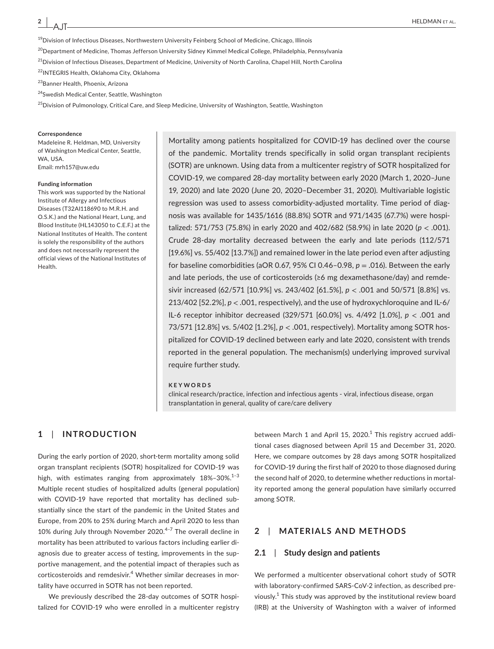AJT

<sup>19</sup>Division of Infectious Diseases, Northwestern University Feinberg School of Medicine, Chicago, Illinois

<sup>20</sup>Department of Medicine, Thomas Jefferson University Sidney Kimmel Medical College, Philadelphia, Pennsylvania

<sup>21</sup>Division of Infectious Diseases, Department of Medicine, University of North Carolina, Chapel Hill, North Carolina

<sup>22</sup>INTEGRIS Health, Oklahoma City, Oklahoma

23Banner Health, Phoenix, Arizona

<sup>24</sup>Swedish Medical Center, Seattle, Washington

<sup>25</sup>Division of Pulmonology, Critical Care, and Sleep Medicine, University of Washington, Seattle, Washington

#### **Correspondence**

Madeleine R. Heldman, MD, University of Washington Medical Center, Seattle, WA, USA. Email: [mrh157@uw.edu](mailto:mrh157@uw.edu)

#### **Funding information**

This work was supported by the National Institute of Allergy and Infectious Diseases (T32AI118690 to M.R.H. and O.S.K.) and the National Heart, Lung, and Blood Institute (HL143050 to C.E.F.) at the National Institutes of Health. The content is solely the responsibility of the authors and does not necessarily represent the official views of the National Institutes of Health.

Mortality among patients hospitalized for COVID-19 has declined over the course of the pandemic. Mortality trends specifically in solid organ transplant recipients (SOTR) are unknown. Using data from a multicenter registry of SOTR hospitalized for COVID-19, we compared 28-day mortality between early 2020 (March 1, 2020–June 19, 2020) and late 2020 (June 20, 2020–December 31, 2020). Multivariable logistic regression was used to assess comorbidity-adjusted mortality. Time period of diagnosis was available for 1435/1616 (88.8%) SOTR and 971/1435 (67.7%) were hospitalized: 571/753 (75.8%) in early 2020 and 402/682 (58.9%) in late 2020 (*p* < .001). Crude 28-day mortality decreased between the early and late periods (112/571 [19.6%] vs. 55/402 [13.7%]) and remained lower in the late period even after adjusting for baseline comorbidities (aOR 0.67, 95% CI 0.46–0.98, *p* = .016). Between the early and late periods, the use of corticosteroids (≥6 mg dexamethasone/day) and remdesivir increased (62/571 [10.9%] vs. 243/402 [61.5%], *p* < .001 and 50/571 [8.8%] vs. 213/402 [52.2%], *p* < .001, respectively), and the use of hydroxychloroquine and IL-6/ IL-6 receptor inhibitor decreased (329/571 [60.0%] vs. 4/492 [1.0%], *p* < .001 and 73/571 [12.8%] vs. 5/402 [1.2%], *p* < .001, respectively). Mortality among SOTR hospitalized for COVID-19 declined between early and late 2020, consistent with trends reported in the general population. The mechanism(s) underlying improved survival require further study.

#### **KEYWORDS**

clinical research/practice, infection and infectious agents - viral, infectious disease, organ transplantation in general, quality of care/care delivery

## **1**  | **INTRODUCTION**

During the early portion of 2020, short-term mortality among solid organ transplant recipients (SOTR) hospitalized for COVID-19 was high, with estimates ranging from approximately  $18\% - 30\%$ .<sup>1-3</sup> Multiple recent studies of hospitalized adults (general population) with COVID-19 have reported that mortality has declined substantially since the start of the pandemic in the United States and Europe, from 20% to 25% during March and April 2020 to less than 10% during July through November 2020.<sup>4-7</sup> The overall decline in mortality has been attributed to various factors including earlier diagnosis due to greater access of testing, improvements in the supportive management, and the potential impact of therapies such as corticosteroids and remdesivir.<sup>4</sup> Whether similar decreases in mortality have occurred in SOTR has not been reported.

We previously described the 28-day outcomes of SOTR hospitalized for COVID-19 who were enrolled in a multicenter registry

between March 1 and April 15, 2020. $^1$  This registry accrued additional cases diagnosed between April 15 and December 31, 2020. Here, we compare outcomes by 28 days among SOTR hospitalized for COVID-19 during the first half of 2020 to those diagnosed during the second half of 2020, to determine whether reductions in mortality reported among the general population have similarly occurred among SOTR.

## **2**  | **MATERIALS AND METHODS**

#### **2.1**  | **Study design and patients**

We performed a multicenter observational cohort study of SOTR with laboratory-confirmed SARS-CoV-2 infection, as described previously.<sup>1</sup> This study was approved by the institutional review board (IRB) at the University of Washington with a waiver of informed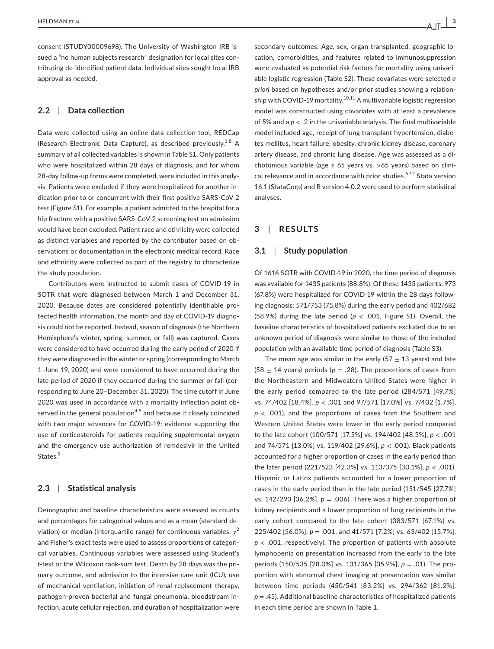consent (STUDY00009698). The University of Washington IRB issued a "no human subjects research" designation for local sites contributing de-identified patient data. Individual sites sought local IRB approval as needed.

## **2.2**  | **Data collection**

Data were collected using an online data collection tool, REDCap (Research Electronic Data Capture), as described previously.<sup>1,8</sup> A summary of all collected variables is shown in Table S1. Only patients who were hospitalized within 28 days of diagnosis, and for whom 28-day follow-up forms were completed, were included in this analysis. Patients were excluded if they were hospitalized for another indication prior to or concurrent with their first positive SARS-CoV-2 test (Figure S1). For example, a patient admitted to the hospital for a hip fracture with a positive SARS-CoV-2 screening test on admission would have been excluded. Patient race and ethnicity were collected as distinct variables and reported by the contributor based on observations or documentation in the electronic medical record. Race and ethnicity were collected as part of the registry to characterize the study population.

Contributors were instructed to submit cases of COVID-19 in SOTR that were diagnosed between March 1 and December 31, 2020. Because dates are considered potentially identifiable protected health information, the month and day of COVID-19 diagnosis could not be reported. Instead, season of diagnosis (the Northern Hemisphere's winter, spring, summer, or fall) was captured. Cases were considered to have occurred during the early period of 2020 if they were diagnosed in the winter or spring (corresponding to March 1–June 19, 2020) and were considered to have occurred during the late period of 2020 if they occurred during the summer or fall (corresponding to June 20–December 31, 2020). The time cutoff in June 2020 was used in accordance with a mortality inflection point observed in the general population<sup>4,5</sup> and because it closely coincided with two major advances for COVID-19: evidence supporting the use of corticosteroids for patients requiring supplemental oxygen and the emergency use authorization of remdesivir in the United States.<sup>9</sup>

### **2.3**  | **Statistical analysis**

Demographic and baseline characteristics were assessed as counts and percentages for categorical values and as a mean (standard deviation) or median (interquartile range) for continuous variables.  $\chi^2$ and Fisher's exact tests were used to assess proportions of categorical variables. Continuous variables were assessed using Student's *t*-test or the Wilcoxon rank-sum test. Death by 28 days was the primary outcome, and admission to the intensive care unit (ICU), use of mechanical ventilation, initiation of renal replacement therapy, pathogen-proven bacterial and fungal pneumonia, bloodstream infection, acute cellular rejection, and duration of hospitalization were

secondary outcomes. Age, sex, organ transplanted, geographic location, comorbidities, and features related to immunosuppression were evaluated as potential risk factors for mortality using univariable logistic regression (Table S2). These covariates were selected *a priori* based on hypotheses and/or prior studies showing a relationship with COVID-19 mortality.<sup>10,11</sup> A multivariable logistic regression model was constructed using covariates with at least a prevalence of 5% and a *p* < .2 in the univariable analysis. The final multivariable model included age, receipt of lung transplant hypertension, diabetes mellitus, heart failure, obesity, chronic kidney disease, coronary artery disease, and chronic lung disease. Age was assessed as a dichotomous variable (age  $\leq$  65 years vs. >65 years) based on clinical relevance and in accordance with prior studies.<sup>5,12</sup> Stata version 16.1 (StataCorp) and R version 4.0.2 were used to perform statistical analyses.

## **3**  | **RESULTS**

#### **3.1**  | **Study population**

Of 1616 SOTR with COVID-19 in 2020, the time period of diagnosis was available for 1435 patients (88.8%). Of these 1435 patients, 973 (67.8%) were hospitalized for COVID-19 within the 28 days following diagnosis: 571/753 (75.8%) during the early period and 402/682 (58.9%) during the late period ( $p < .001$ , Figure S1). Overall, the baseline characteristics of hospitalized patients excluded due to an unknown period of diagnosis were similar to those of the included population with an available time period of diagnosis (Table S3).

The mean age was similar in the early (57  $\pm$  13 years) and late (58  $\pm$  14 years) periods ( $p = .28$ ). The proportions of cases from the Northeastern and Midwestern United States were higher in the early period compared to the late period (284/571 [49.7%] vs. 74/402 [18.4%], *p* < .001 and 97/571 [17.0%] vs. 7/402 [1.7%], *p* < .001), and the proportions of cases from the Southern and Western United States were lower in the early period compared to the late cohort (100/571 [17.5%] vs. 194/402 [48.3%], *p* < .001 and 74/571 [13.0%] vs. 119/402 [29.6%], *p* < .001). Black patients accounted for a higher proportion of cases in the early period than the later period (221/523 [42.3%] vs. 113/375 [30.1%], *p* < .001). Hispanic or Latinx patients accounted for a lower proportion of cases in the early period than in the late period (151/545 [27.7%] vs. 142/293 [36.2%], *p* = .006). There was a higher proportion of kidney recipients and a lower proportion of lung recipients in the early cohort compared to the late cohort (383/571 [67.1%] vs. 225/402 [56.0%], *p* = .001, and 41/571 [7.2%] vs. 63/402 [15.7%], *p* < .001, respectively). The proportion of patients with absolute lymphopenia on presentation increased from the early to the late periods (150/535 [28.0%] vs. 131/365 [35.9%], *p* = .01). The proportion with abnormal chest imaging at presentation was similar between time periods (450/541 [83.2%] vs. 294/362 [81.2%], *p* = .45). Additional baseline characteristics of hospitalized patients in each time period are shown in Table 1.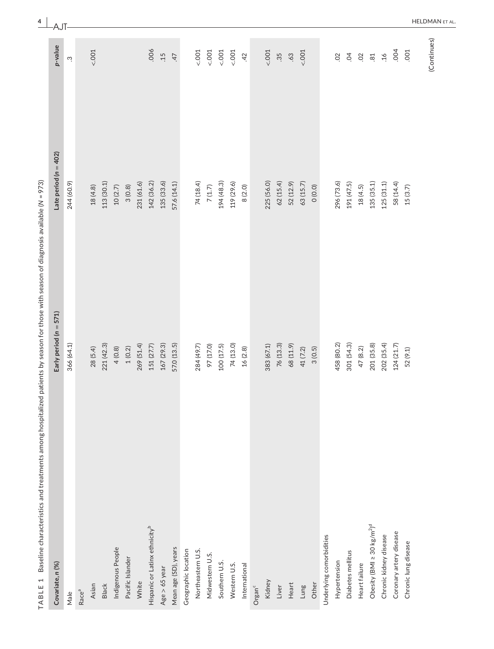| j                                                    |  |
|------------------------------------------------------|--|
|                                                      |  |
|                                                      |  |
| II                                                   |  |
| ∘                                                    |  |
|                                                      |  |
|                                                      |  |
| Ś                                                    |  |
|                                                      |  |
| ļ                                                    |  |
|                                                      |  |
|                                                      |  |
| Ó                                                    |  |
| d                                                    |  |
| ۱                                                    |  |
| Ó                                                    |  |
|                                                      |  |
|                                                      |  |
| l                                                    |  |
| i<br>֖֖֖֖֖֖֖֧ׅׅׅׅׅ֧֚֚֚֚֚֚֚֚֚֚֚֚֚֚֚֚֚֚֚֡֝֝֝֬֓֡֡֬֝֬֓֝֬ |  |
| ١<br>ć<br>١                                          |  |
|                                                      |  |
|                                                      |  |
|                                                      |  |
|                                                      |  |
|                                                      |  |
| Ó<br>j<br>١                                          |  |
| Ò                                                    |  |
| j                                                    |  |
| j                                                    |  |
| ļ<br>١                                               |  |
| ļ                                                    |  |
| ï<br>֡֡֡֡                                            |  |
| Ó<br>١                                               |  |
|                                                      |  |
| i                                                    |  |
| l                                                    |  |
|                                                      |  |
|                                                      |  |
| ı                                                    |  |
|                                                      |  |
| i                                                    |  |
| Ś                                                    |  |
|                                                      |  |
| I<br>j                                               |  |
| Ī                                                    |  |
| ۱                                                    |  |
| ¢                                                    |  |
| ï                                                    |  |
| Ś                                                    |  |
| ł<br>J<br>١                                          |  |
| Ó<br>١                                               |  |
|                                                      |  |
| Ï<br>3                                               |  |
|                                                      |  |
| ו<br>ו                                               |  |
| í                                                    |  |
|                                                      |  |
|                                                      |  |
| Ó<br>۱<br>١<br>l                                     |  |
|                                                      |  |
| l                                                    |  |
| ļ                                                    |  |
|                                                      |  |
|                                                      |  |
| i                                                    |  |
|                                                      |  |
| ï                                                    |  |
| ۱                                                    |  |
|                                                      |  |
|                                                      |  |
|                                                      |  |
| ۱                                                    |  |
| S                                                    |  |
|                                                      |  |
| j<br>i<br>Ó                                          |  |
| ١<br>ı                                               |  |
|                                                      |  |
| 1                                                    |  |
| L<br>J                                               |  |
| J<br>J                                               |  |
| $\overline{\mathbf{r}}$<br>נ                         |  |
| ₹<br>ï                                               |  |
| I                                                    |  |
|                                                      |  |

| Baseline characteristics and treatments among hospitalized patients by season for those with season of diagnosis available (N = 973)<br>$\overline{\phantom{0}}$<br>TABLE |                        |                           | $\frac{4}{}$          |
|---------------------------------------------------------------------------------------------------------------------------------------------------------------------------|------------------------|---------------------------|-----------------------|
| Covariate, n (%)                                                                                                                                                          | Early period (n = 571) | Late period ( $n = 402$ ) | AJT<br>p-value        |
| Male                                                                                                                                                                      | 366 (64.1)             | 244 (60.9)                | ù.                    |
| Race <sup>a</sup>                                                                                                                                                         |                        |                           |                       |
| Asian                                                                                                                                                                     | 28 (5.4)               | 18(4.8)                   | 001                   |
| Black                                                                                                                                                                     | 221 (42.3)             | 113 (30.1)                |                       |
| Indigenous People                                                                                                                                                         | 4(0.8)                 | 10(2.7)                   |                       |
| Pacific Islander                                                                                                                                                          | 1(0.2)                 | 3(0.8)                    |                       |
| White                                                                                                                                                                     | 269 (51.4)             | 231 (61.6)                |                       |
| Hispanic or Latinx ethnicity <sup>b</sup>                                                                                                                                 | 151 (27.7)             | 142 (36.2)                | .006                  |
| Age $> 65$ year                                                                                                                                                           | 167 (29.3)             | 135(33.6)                 | .15                   |
| Mean age (SD), years                                                                                                                                                      | 57.0 (13.5)            | 57.6 (14.1)               | 47                    |
| Geographic location                                                                                                                                                       |                        |                           |                       |
| Northeastern U.S.                                                                                                                                                         | 284 (49.7)             | 74 (18.4)                 | 001                   |
| Midwestern U.S.                                                                                                                                                           | 97 (17.0)              | $7\,(1.7)$                | 001                   |
| Southern U.S.                                                                                                                                                             | 100 (17.5)             | 194 (48.3)                | 5001                  |
| Western U.S.                                                                                                                                                              | 74 (13.0)              | 119 (29.6)                | 5001                  |
| International                                                                                                                                                             | 16(2.8)                | 8(2.0)                    | 42                    |
| $O$ rgan $^c$                                                                                                                                                             |                        |                           |                       |
| Kidney                                                                                                                                                                    | 383 (67.1)             | 225 (56.0)                | 001                   |
| Liver                                                                                                                                                                     | 76 (13.3)              | 62(15.4)                  | 35                    |
| Heart                                                                                                                                                                     | 68 (11.9)              | 52 (12.9)                 | .63                   |
| Lung                                                                                                                                                                      | 41 (7.2)               | 63 (15.7)                 | 001                   |
| Other                                                                                                                                                                     | 3(0.5)                 | 0(0.0)                    |                       |
| Underlying comorbidities                                                                                                                                                  |                        |                           |                       |
| Hypertension                                                                                                                                                              | 458 (80.2)             | 296 (73.6)                | $\mathcal{S}$         |
| Diabetes mellitus                                                                                                                                                         | 301 (54.3)             | 191 (47.5)                | $\overline{5}$        |
| Heart failure                                                                                                                                                             | 47 (8.2)               | 18(4.5)                   | $\Omega$              |
| Obesity (BMI $\geq 30$ kg/m <sup>2</sup> ) <sup>d</sup>                                                                                                                   | 201 (35.8)             | 135 (35.1)                | $81$                  |
| Chronic kidney disease                                                                                                                                                    | 202 (35.4)             | 125(31.1)                 | .16                   |
| Coronary artery disease                                                                                                                                                   | 124 (21.7)             | 58 (14.4)                 | .004                  |
| Chronic lung disease                                                                                                                                                      | 52 (9.1)               | 15(3.7)                   | .001                  |
|                                                                                                                                                                           |                        |                           | HELDMA<br>(Continues) |

HELDMAN et al.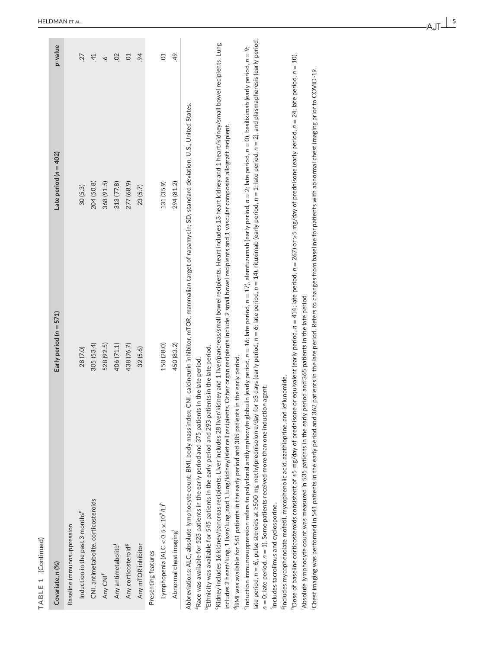| ۰<br>ר |
|--------|
|        |
|        |
|        |
| Ξ      |
|        |
| ٠      |
|        |
|        |
| ۰      |
| u      |
|        |
|        |
| ۹      |

| TABLE 1 (Continued)                                                                                                                                                                                                                                                                                                                                                                                                                                                                                                                                                                                                                                                                                                                                                                                    |                          |                                                                                                                                                                                                                                                                                                                                                                                                                                                                                                                                                                                                                                                                                                                                                                                                      |  |
|--------------------------------------------------------------------------------------------------------------------------------------------------------------------------------------------------------------------------------------------------------------------------------------------------------------------------------------------------------------------------------------------------------------------------------------------------------------------------------------------------------------------------------------------------------------------------------------------------------------------------------------------------------------------------------------------------------------------------------------------------------------------------------------------------------|--------------------------|------------------------------------------------------------------------------------------------------------------------------------------------------------------------------------------------------------------------------------------------------------------------------------------------------------------------------------------------------------------------------------------------------------------------------------------------------------------------------------------------------------------------------------------------------------------------------------------------------------------------------------------------------------------------------------------------------------------------------------------------------------------------------------------------------|--|
| Covariate, n (%)                                                                                                                                                                                                                                                                                                                                                                                                                                                                                                                                                                                                                                                                                                                                                                                       | Early period $(n = 571)$ | p-value<br>Late period ( $n = 402$ )                                                                                                                                                                                                                                                                                                                                                                                                                                                                                                                                                                                                                                                                                                                                                                 |  |
| Baseline immunosuppression                                                                                                                                                                                                                                                                                                                                                                                                                                                                                                                                                                                                                                                                                                                                                                             |                          |                                                                                                                                                                                                                                                                                                                                                                                                                                                                                                                                                                                                                                                                                                                                                                                                      |  |
| Induction in the past 3 months <sup>e</sup>                                                                                                                                                                                                                                                                                                                                                                                                                                                                                                                                                                                                                                                                                                                                                            | 28 (7.0)                 | 27<br>30(5.3)                                                                                                                                                                                                                                                                                                                                                                                                                                                                                                                                                                                                                                                                                                                                                                                        |  |
| CNI, antimetabolite, corticosteroids                                                                                                                                                                                                                                                                                                                                                                                                                                                                                                                                                                                                                                                                                                                                                                   | 305 (53.4)               | $\overline{41}$<br>204 (50.8)                                                                                                                                                                                                                                                                                                                                                                                                                                                                                                                                                                                                                                                                                                                                                                        |  |
| Any CNI <sup>f</sup>                                                                                                                                                                                                                                                                                                                                                                                                                                                                                                                                                                                                                                                                                                                                                                                   | 528 (92.5)               | $\circ$<br>368 (91.5)                                                                                                                                                                                                                                                                                                                                                                                                                                                                                                                                                                                                                                                                                                                                                                                |  |
| Any antimetabolite <sup>f</sup>                                                                                                                                                                                                                                                                                                                                                                                                                                                                                                                                                                                                                                                                                                                                                                        | 406 (71.1)               | $\overline{0}$<br>313 (77.8)                                                                                                                                                                                                                                                                                                                                                                                                                                                                                                                                                                                                                                                                                                                                                                         |  |
| Any corticosteroid <sup>8</sup>                                                                                                                                                                                                                                                                                                                                                                                                                                                                                                                                                                                                                                                                                                                                                                        | 438 (76.7)               | C <sub>1</sub><br>277 (68.9)                                                                                                                                                                                                                                                                                                                                                                                                                                                                                                                                                                                                                                                                                                                                                                         |  |
| Any mTOR inhibitor                                                                                                                                                                                                                                                                                                                                                                                                                                                                                                                                                                                                                                                                                                                                                                                     | 32(5.6)                  | 694<br>23(5.7)                                                                                                                                                                                                                                                                                                                                                                                                                                                                                                                                                                                                                                                                                                                                                                                       |  |
| Presenting features                                                                                                                                                                                                                                                                                                                                                                                                                                                                                                                                                                                                                                                                                                                                                                                    |                          |                                                                                                                                                                                                                                                                                                                                                                                                                                                                                                                                                                                                                                                                                                                                                                                                      |  |
| Lymphopenia (ALC < 0.5 × 10 <sup>9</sup> /L) <sup>h</sup>                                                                                                                                                                                                                                                                                                                                                                                                                                                                                                                                                                                                                                                                                                                                              | 150 (28.0)               | <b>PO</b><br>131 (35.9)                                                                                                                                                                                                                                                                                                                                                                                                                                                                                                                                                                                                                                                                                                                                                                              |  |
| Abnormal chest imaging                                                                                                                                                                                                                                                                                                                                                                                                                                                                                                                                                                                                                                                                                                                                                                                 | 450 (83.2)               | 49<br>294 (81.2)                                                                                                                                                                                                                                                                                                                                                                                                                                                                                                                                                                                                                                                                                                                                                                                     |  |
| includes 2 heart/lung, 1 liver/lung, and 1 lung/kidney/islet cell recipients. Other organ recipients include 2 small bowel recipients and 1 vascular composite allograft recipient.<br>Ethnicity was available for 545 patients in the early period and 293 patients in the late period.<br>BMI was available for 561 patients in the early period and 385 patients in the early period.<br>Race was available for 523 patients in the early period and 375 patients in the late period.<br><sup>8</sup> Includes mycophenolate mofetil, mycophenolic acid, azathioprine, and leflunomide.<br>$n = 0$ ; late period, $n = 1$ ). Some patients received more than one induction agent.<br>Abbreviations: ALC, absolute lymphocyte count; BMI, body mass index;<br>Includes tacrolimus and cyclosporine. |                          | late period, $n = 6$ ), pulse steroids at 2500 mg methylprednisolon e/day for 23 days (early period, $n = 6$ ; late period, $n = 14$ ), rituximab (early period, $n = 1$ ; late period, $n = 2$ ), and plasmapheresis (early period,<br>·Kidney includes 16 kidney/pancreas recipients. Liver includes 28 liver/kidney and 1 liver/pancreas/small bowel recipients. Heart includes 13 heart kidney and 1 heart/kidney/small bowel recipients. Lung<br>$^{\rm e}$ nduction immunosuppression refers to polyclonal antilymphocyte globulin (early period, $n=16$ , late period, $n=17$ ), alemtuzumab (early period, $n=2$ ; late period, $n=0$ ), basiliximab (early period, $n=9$ ;<br>CNI, calcineurin inhibitor, mTOR, mammalian target of rapamycin; SD, standard deviation, U.S., United States. |  |
| Absolute lymphocyte count was measured in 535 patients in the early period and 365 patients in the late period.                                                                                                                                                                                                                                                                                                                                                                                                                                                                                                                                                                                                                                                                                        |                          | Dose of baseline corticosteroids consistent of s5 mg/day of prednisone or equivalent (early period, n = 414; late period, n = 267) or >5 mg/day of prednisone (early period, n = 20; late period, n = 10).                                                                                                                                                                                                                                                                                                                                                                                                                                                                                                                                                                                           |  |
|                                                                                                                                                                                                                                                                                                                                                                                                                                                                                                                                                                                                                                                                                                                                                                                                        |                          | Chest imaging was performed in 541 patients in the early period and 362 patients in the late period. Refers to changes from baseline for patients with abnormal chest imaging prior to COVID-19.                                                                                                                                                                                                                                                                                                                                                                                                                                                                                                                                                                                                     |  |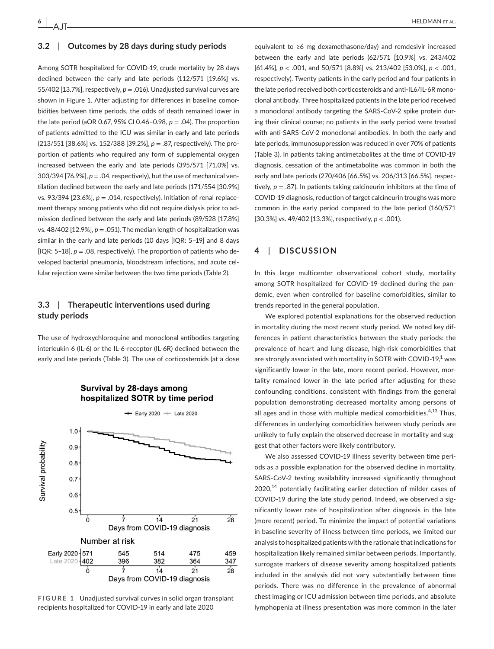AJT

#### **3.2**  | **Outcomes by 28 days during study periods**

Among SOTR hospitalized for COVID-19, crude mortality by 28 days declined between the early and late periods (112/571 [19.6%] vs. 55/402 [13.7%], respectively, *p* = .016). Unadjusted survival curves are shown in Figure 1. After adjusting for differences in baseline comorbidities between time periods, the odds of death remained lower in the late period (aOR 0.67, 95% CI 0.46-0.98,  $p = .04$ ). The proportion of patients admitted to the ICU was similar in early and late periods (213/551 [38.6%] vs. 152/388 [39.2%], *p* = .87, respectively). The proportion of patients who required any form of supplemental oxygen increased between the early and late periods (395/571 [71.0%] vs.  $303/394$  [76.9%],  $p = .04$ , respectively), but the use of mechanical ventilation declined between the early and late periods (171/554 [30.9%] vs. 93/394 [23.6%], *p* = .014, respectively). Initiation of renal replacement therapy among patients who did not require dialysis prior to admission declined between the early and late periods (89/528 [17.8%] vs.  $48/402$  [12.9%],  $p = .051$ ). The median length of hospitalization was similar in the early and late periods (10 days [IQR: 5–19] and 8 days [ $[QR: 5-18]$ ,  $p = .08$ , respectively). The proportion of patients who developed bacterial pneumonia, bloodstream infections, and acute cellular rejection were similar between the two time periods (Table 2).

## **3.3**  | **Therapeutic interventions used during study periods**

The use of hydroxychloroquine and monoclonal antibodies targeting interleukin 6 (IL-6) or the IL-6-receptor (IL-6R) declined between the early and late periods (Table 3). The use of corticosteroids (at a dose



## Survival by 28-davs among hospitalized SOTR by time period

**FIGURE 1** Unadjusted survival curves in solid organ transplant recipients hospitalized for COVID-19 in early and late 2020

equivalent to ≥6 mg dexamethasone/day) and remdesivir increased between the early and late periods (62/571 [10.9%] vs. 243/402 [61.4%], *p* < .001, and 50/571 [8.8%] vs. 213/402 [53.0%], *p* < .001, respectively). Twenty patients in the early period and four patients in the late period received both corticosteroids and anti-IL6/IL-6R monoclonal antibody. Three hospitalized patients in the late period received a monoclonal antibody targeting the SARS-CoV-2 spike protein during their clinical course; no patients in the early period were treated with anti-SARS-CoV-2 monoclonal antibodies. In both the early and late periods, immunosuppression was reduced in over 70% of patients (Table 3). In patients taking antimetabolites at the time of COVID-19 diagnosis, cessation of the antimetabolite was common in both the early and late periods (270/406 [66.5%] vs. 206/313 [66.5%], respectively, *p* = .87). In patients taking calcineurin inhibitors at the time of COVID-19 diagnosis, reduction of target calcineurin troughs was more common in the early period compared to the late period (160/571 [30.3%] vs. 49/402 [13.3%], respectively, *p* < .001).

### **4**  | **DISCUSSION**

In this large multicenter observational cohort study, mortality among SOTR hospitalized for COVID-19 declined during the pandemic, even when controlled for baseline comorbidities, similar to trends reported in the general population.

We explored potential explanations for the observed reduction in mortality during the most recent study period. We noted key differences in patient characteristics between the study periods: the prevalence of heart and lung disease, high-risk comorbidities that are strongly associated with mortality in SOTR with COVID-19, $^1$  was significantly lower in the late, more recent period. However, mortality remained lower in the late period after adjusting for these confounding conditions, consistent with findings from the general population demonstrating decreased mortality among persons of all ages and in those with multiple medical comorbidities. $4,13$  Thus, differences in underlying comorbidities between study periods are unlikely to fully explain the observed decrease in mortality and suggest that other factors were likely contributory.

We also assessed COVID-19 illness severity between time periods as a possible explanation for the observed decline in mortality. SARS-CoV-2 testing availability increased significantly throughout  $2020$ ,<sup>14</sup> potentially facilitating earlier detection of milder cases of COVID-19 during the late study period. Indeed, we observed a significantly lower rate of hospitalization after diagnosis in the late (more recent) period. To minimize the impact of potential variations in baseline severity of illness between time periods, we limited our analysis to hospitalized patients with the rationale that indications for hospitalization likely remained similar between periods. Importantly, surrogate markers of disease severity among hospitalized patients included in the analysis did not vary substantially between time periods. There was no difference in the prevalence of abnormal chest imaging or ICU admission between time periods, and absolute lymphopenia at illness presentation was more common in the later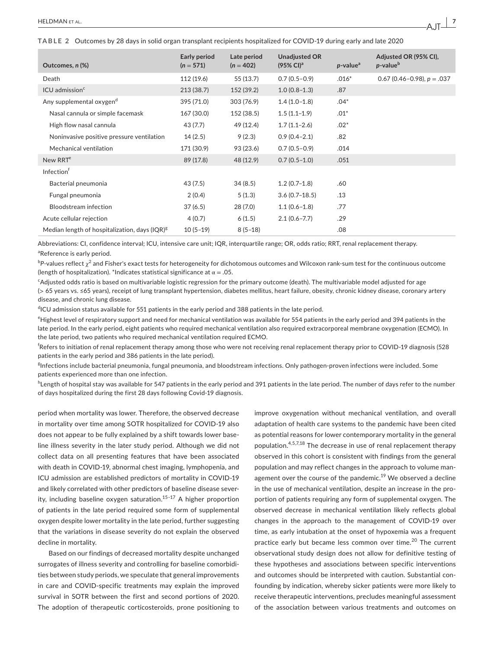**TABLE 2** Outcomes by 28 days in solid organ transplant recipients hospitalized for COVID-19 during early and late 2020

| Outcomes, n (%)                                  | Early period<br>$(n = 571)$ | Late period<br>$(n = 402)$ | <b>Unadjusted OR</b><br>$(95\% \text{ Cl})^{\text{a}}$ | $p$ -value <sup>a</sup> | Adjusted OR (95% CI),<br>$p$ -value $^b$ |
|--------------------------------------------------|-----------------------------|----------------------------|--------------------------------------------------------|-------------------------|------------------------------------------|
| Death                                            | 112 (19.6)                  | 55 (13.7)                  | $0.7(0.5-0.9)$                                         | $.016*$                 | $0.67$ (0.46-0.98), $p = .037$           |
| ICU admission <sup>c</sup>                       | 213(38.7)                   | 152 (39.2)                 | $1.0(0.8-1.3)$                                         | .87                     |                                          |
| Any supplemental oxygen <sup>d</sup>             | 395 (71.0)                  | 303 (76.9)                 | $1.4(1.0-1.8)$                                         | $.04*$                  |                                          |
| Nasal cannula or simple facemask                 | 167 (30.0)                  | 152 (38.5)                 | $1.5(1.1-1.9)$                                         | $.01*$                  |                                          |
| High flow nasal cannula                          | 43 (7.7)                    | 49 (12.4)                  | $1.7(1.1-2.6)$                                         | $.02*$                  |                                          |
| Noninvasive positive pressure ventilation        | 14(2.5)                     | 9(2.3)                     | $0.9(0.4 - 2.1)$                                       | .82                     |                                          |
| Mechanical ventilation                           | 171 (30.9)                  | 93 (23.6)                  | $0.7(0.5-0.9)$                                         | .014                    |                                          |
| New RRT <sup>e</sup>                             | 89 (17.8)                   | 48 (12.9)                  | $0.7(0.5-1.0)$                                         | .051                    |                                          |
| Infection <sup>†</sup>                           |                             |                            |                                                        |                         |                                          |
| Bacterial pneumonia                              | 43 (7.5)                    | 34(8.5)                    | $1.2(0.7-1.8)$                                         | .60                     |                                          |
| Fungal pneumonia                                 | 2(0.4)                      | 5(1.3)                     | $3.6(0.7-18.5)$                                        | .13                     |                                          |
| <b>Bloodstream</b> infection                     | 37(6.5)                     | 28(7.0)                    | $1.1(0.6-1.8)$                                         | .77                     |                                          |
| Acute cellular rejection                         | 4(0.7)                      | 6(1.5)                     | $2.1(0.6 - 7.7)$                                       | .29                     |                                          |
| Median length of hospitalization, days $(IQR)^g$ | $10(5-19)$                  | $8(5-18)$                  |                                                        | .08                     |                                          |

Abbreviations: CI, confidence interval; ICU, intensive care unit; IQR, interquartile range; OR, odds ratio; RRT, renal replacement therapy. <sup>a</sup>Reference is early period.

 $^{\rm b}$ P-values reflect  $\chi^2$  and Fisher's exact tests for heterogeneity for dichotomous outcomes and Wilcoxon rank-sum test for the continuous outcome (length of hospitalization). \*Indicates statistical significance at  $\alpha = .05$ .

c Adjusted odds ratio is based on multivariable logistic regression for the primary outcome (death). The multivariable model adjusted for age (> 65 years vs. ≤65 years), receipt of lung transplant hypertension, diabetes mellitus, heart failure, obesity, chronic kidney disease, coronary artery disease, and chronic lung disease.

<sup>d</sup>ICU admission status available for 551 patients in the early period and 388 patients in the late period.

e Highest level of respiratory support and need for mechanical ventilation was available for 554 patients in the early period and 394 patients in the late period. In the early period, eight patients who required mechanical ventilation also required extracorporeal membrane oxygenation (ECMO). In the late period, two patients who required mechanical ventilation required ECMO.

f Refers to initiation of renal replacement therapy among those who were not receiving renal replacement therapy prior to COVID-19 diagnosis (528 patients in the early period and 386 patients in the late period).

<sup>g</sup>Infections include bacterial pneumonia, fungal pneumonia, and bloodstream infections. Only pathogen-proven infections were included. Some patients experienced more than one infection.

<sup>h</sup>Length of hospital stay was available for 547 patients in the early period and 391 patients in the late period. The number of days refer to the number of days hospitalized during the first 28 days following Covid-19 diagnosis.

period when mortality was lower. Therefore, the observed decrease in mortality over time among SOTR hospitalized for COVID-19 also does not appear to be fully explained by a shift towards lower baseline illness severity in the later study period. Although we did not collect data on all presenting features that have been associated with death in COVID-19, abnormal chest imaging, lymphopenia, and ICU admission are established predictors of mortality in COVID-19 and likely correlated with other predictors of baseline disease severity, including baseline oxygen saturation.<sup>15-17</sup> A higher proportion of patients in the late period required some form of supplemental oxygen despite lower mortality in the late period, further suggesting that the variations in disease severity do not explain the observed decline in mortality.

Based on our findings of decreased mortality despite unchanged surrogates of illness severity and controlling for baseline comorbidities between study periods, we speculate that general improvements in care and COVID-specific treatments may explain the improved survival in SOTR between the first and second portions of 2020. The adoption of therapeutic corticosteroids, prone positioning to

improve oxygenation without mechanical ventilation, and overall adaptation of health care systems to the pandemic have been cited as potential reasons for lower contemporary mortality in the general population.<sup>4,5,7,18</sup> The decrease in use of renal replacement therapy observed in this cohort is consistent with findings from the general population and may reflect changes in the approach to volume management over the course of the pandemic.<sup>19</sup> We observed a decline in the use of mechanical ventilation, despite an increase in the proportion of patients requiring any form of supplemental oxygen. The observed decrease in mechanical ventilation likely reflects global changes in the approach to the management of COVID-19 over time, as early intubation at the onset of hypoxemia was a frequent practice early but became less common over time.<sup>20</sup> The current observational study design does not allow for definitive testing of these hypotheses and associations between specific interventions and outcomes should be interpreted with caution. Substantial confounding by indication, whereby sicker patients were more likely to receive therapeutic interventions, precludes meaningful assessment of the association between various treatments and outcomes on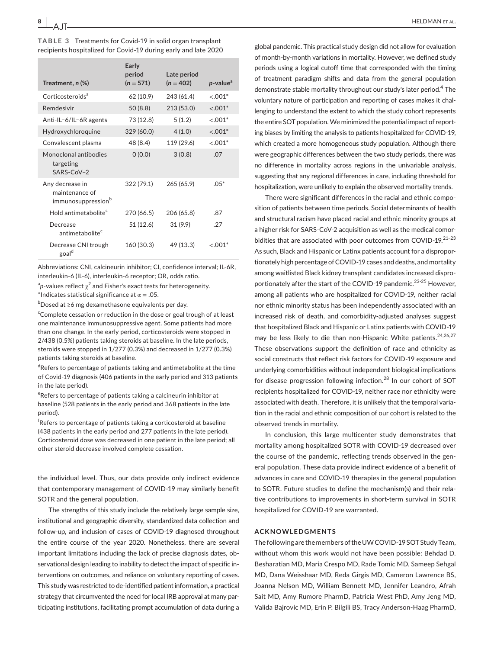AJT

| Treatment, n (%)                                                    | Early<br>period<br>$(n = 571)$ | Late period<br>$(n = 402)$ | p-value <sup>a</sup> |
|---------------------------------------------------------------------|--------------------------------|----------------------------|----------------------|
| Corticosteroids <sup>a</sup>                                        | 62 (10.9)                      | 243 (61.4)                 | $< .001*$            |
| Remdesivir                                                          | 50(8.8)                        | 213 (53.0)                 | $< .001*$            |
| Anti-IL-6/IL-6R agents                                              | 73 (12.8)                      | 5(1.2)                     | $< .001*$            |
| Hydroxychloroquine                                                  | 329 (60.0)                     | 4(1.0)                     | $< .001*$            |
| Convalescent plasma                                                 | 48 (8.4)                       | 119 (29.6)                 | $< 0.001*$           |
| Monoclonal antibodies<br>targeting<br>$SARS-CoV-2$                  | 0(0.0)                         | 3(0.8)                     | .07                  |
| Any decrease in<br>maintenance of<br>immunosuppression <sup>b</sup> | 322 (79.1)                     | 265 (65.9)                 | $.05*$               |
| Hold antimetabolite <sup>c</sup>                                    | 270 (66.5)                     | 206 (65.8)                 | .87                  |
| Decrease<br>antimetabolite <sup>c</sup>                             | 51 (12.6)                      | 31(9.9)                    | .27                  |
| Decrease CNI trough<br>goal <sup>d</sup>                            | 160 (30.3)                     | 49 (13.3)                  | $< 0.01*$            |

**TABLE 3** Treatments for Covid-19 in solid organ transplant recipients hospitalized for Covid-19 during early and late 2020

Abbreviations: CNI, calcineurin inhibitor; CI, confidence interval; IL-6R, interleukin-6 (IL-6), interleukin-6 receptor; OR, odds ratio.

 $a$ <sub>p</sub>-values reflect  $\chi^2$  and Fisher's exact tests for heterogeneity.

\*Indicates statistical significance at  $\alpha = .05$ .

<sup>b</sup>Dosed at ≥6 mg dexamethasone equivalents per day.

<sup>c</sup>Complete cessation or reduction in the dose or goal trough of at least one maintenance immunosuppressive agent. Some patients had more than one change. In the early period, corticosteroids were stopped in 2/438 (0.5%) patients taking steroids at baseline. In the late periods, steroids were stopped in 1/277 (0.3%) and decreased in 1/277 (0.3%) patients taking steroids at baseline.

<sup>d</sup>Refers to percentage of patients taking and antimetabolite at the time of Covid-19 diagnosis (406 patients in the early period and 313 patients in the late period).

<sup>e</sup>Refers to percentage of patients taking a calcineurin inhibitor at baseline (528 patients in the early period and 368 patients in the late period).

f Refers to percentage of patients taking a corticosteroid at baseline (438 patients in the early period and 277 patients in the late period). Corticosteroid dose was decreased in one patient in the late period; all other steroid decrease involved complete cessation.

the individual level. Thus, our data provide only indirect evidence that contemporary management of COVID-19 may similarly benefit SOTR and the general population.

The strengths of this study include the relatively large sample size, institutional and geographic diversity, standardized data collection and follow-up, and inclusion of cases of COVID-19 diagnosed throughout the entire course of the year 2020. Nonetheless, there are several important limitations including the lack of precise diagnosis dates, observational design leading to inability to detect the impact of specific interventions on outcomes, and reliance on voluntary reporting of cases. This study was restricted to de-identified patient information, a practical strategy that circumvented the need for local IRB approval at many participating institutions, facilitating prompt accumulation of data during a

global pandemic. This practical study design did not allow for evaluation of month-by-month variations in mortality. However, we defined study periods using a logical cutoff time that corresponded with the timing of treatment paradigm shifts and data from the general population demonstrate stable mortality throughout our study's later period.<sup>4</sup> The voluntary nature of participation and reporting of cases makes it challenging to understand the extent to which the study cohort represents the entire SOT population. We minimized the potential impact of reporting biases by limiting the analysis to patients hospitalized for COVID-19, which created a more homogeneous study population. Although there were geographic differences between the two study periods, there was no difference in mortality across regions in the univariable analysis, suggesting that any regional differences in care, including threshold for hospitalization, were unlikely to explain the observed mortality trends.

There were significant differences in the racial and ethnic composition of patients between time periods. Social determinants of health and structural racism have placed racial and ethnic minority groups at a higher risk for SARS-CoV-2 acquisition as well as the medical comorbidities that are associated with poor outcomes from COVID-19. $^{21-23}$ As such, Black and Hispanic or Latinx patients account for a disproportionately high percentage of COVID-19 cases and deaths, and mortality among waitlisted Black kidney transplant candidates increased disproportionately after the start of the COVID-19 pandemic.<sup>23-25</sup> However, among all patients who are hospitalized for COVID-19, neither racial nor ethnic minority status has been independently associated with an increased risk of death, and comorbidity-adjusted analyses suggest that hospitalized Black and Hispanic or Latinx patients with COVID-19 may be less likely to die than non-Hispanic White patients.<sup>24,26,27</sup> These observations support the definition of race and ethnicity as social constructs that reflect risk factors for COVID-19 exposure and underlying comorbidities without independent biological implications for disease progression following infection.<sup>28</sup> In our cohort of SOT recipients hospitalized for COVID-19, neither race nor ethnicity were associated with death. Therefore, it is unlikely that the temporal variation in the racial and ethnic composition of our cohort is related to the observed trends in mortality.

In conclusion, this large multicenter study demonstrates that mortality among hospitalized SOTR with COVID-19 decreased over the course of the pandemic, reflecting trends observed in the general population. These data provide indirect evidence of a benefit of advances in care and COVID-19 therapies in the general population to SOTR. Future studies to define the mechanism(s) and their relative contributions to improvements in short-term survival in SOTR hospitalized for COVID-19 are warranted.

#### **ACKNOWLEDGMENTS**

The following are the members of the UW COVID-19 SOT Study Team, without whom this work would not have been possible: Behdad D. Besharatian MD, Maria Crespo MD, Rade Tomic MD, Sameep Sehgal MD, Dana Weisshaar MD, Reda Girgis MD, Cameron Lawrence BS, Joanna Nelson MD, William Bennett MD, Jennifer Leandro, Afrah Sait MD, Amy Rumore PharmD, Patricia West PhD, Amy Jeng MD, Valida Bajrovic MD, Erin P. Bilgili BS, Tracy Anderson-Haag PharmD,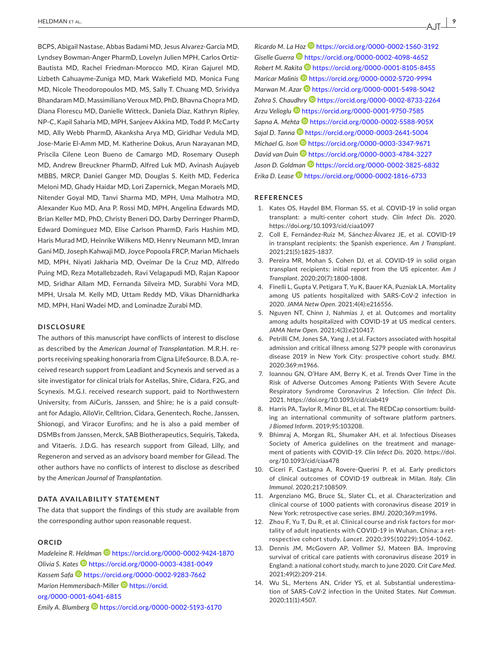BCPS, Abigail Nastase, Abbas Badami MD, Jesus Alvarez-Garcia MD, Lyndsey Bowman-Anger PharmD, Lovelyn Julien MPH, Carlos Ortiz-Bautista MD, Rachel Friedman-Morocco MD, Kiran Gajurel MD, Lizbeth Cahuayme-Zuniga MD, Mark Wakefield MD, Monica Fung MD, Nicole Theodoropoulos MD, MS, Sally T. Chuang MD, Srividya Bhandaram MD, Massimiliano Veroux MD, PhD, Bhavna Chopra MD, Diana Florescu MD, Danielle Witteck, Daniela Diaz, Kathryn Ripley, NP-C, Kapil Saharia MD, MPH, Sanjeev Akkina MD, Todd P. McCarty MD, Ally Webb PharmD, Akanksha Arya MD, Giridhar Vedula MD, Jose-Marie El-Amm MD, M. Katherine Dokus, Arun Narayanan MD, Priscila Cilene Leon Bueno de Camargo MD, Rosemary Ouseph MD, Andrew Breuckner PharmD, Alfred Luk MD, Avinash Aujayeb MBBS, MRCP, Daniel Ganger MD, Douglas S. Keith MD, Federica Meloni MD, Ghady Haidar MD, Lori Zapernick, Megan Moraels MD, Nitender Goyal MD, Tanvi Sharma MD, MPH, Uma Malhotra MD, Alexander Kuo MD, Ana P. Rossi MD, MPH, Angelina Edwards MD, Brian Keller MD, PhD, Christy Beneri DO, Darby Derringer PharmD, Edward Dominguez MD, Elise Carlson PharmD, Faris Hashim MD, Haris Murad MD, Heinrike Wilkens MD, Henry Neumann MD, Imran Gani MD, Joseph Kahwaji MD, Joyce Popoola FRCP, Marian Michaels MD, MPH, Niyati Jakharia MD, Oveimar De la Cruz MD, Alfredo Puing MD, Reza Motallebzadeh, Ravi Velagapudi MD, Rajan Kapoor MD, Sridhar Allam MD, Fernanda Silveira MD, Surabhi Vora MD, MPH, Ursala M. Kelly MD, Uttam Reddy MD, Vikas Dharnidharka MD, MPH, Hani Wadei MD, and Lominadze Zurabi MD.

#### **DISCLOSURE**

The authors of this manuscript have conflicts of interest to disclose as described by the *American Journal of Transplantation*. M.R.H. reports receiving speaking honoraria from Cigna LifeSource. B.D.A. received research support from Leadiant and Scynexis and served as a site investigator for clinical trials for Astellas, Shire, Cidara, F2G, and Scynexis. M.G.I. received research support, paid to Northwestern University, from AiCuris, Janssen, and Shire; he is a paid consultant for Adagio, AlloVir, Celltrion, Cidara, Genentech, Roche, Janssen, Shionogi, and Viracor Eurofins; and he is also a paid member of DSMBs from Janssen, Merck, SAB Biotherapeutics, Sequiris, Takeda, and Vitaeris. J.D.G. has research support from Gilead, Lilly, and Regeneron and served as an advisory board member for Gilead. The other authors have no conflicts of interest to disclose as described by the *American Journal of Transplantation*.

#### **DATA AVAILABILITY STATEMENT**

The data that support the findings of this study are available from the corresponding author upon reasonable request.

#### **ORCID**

*Madeleine R. Heldman* <https://orcid.org/0000-0002-9424-1870> *Olivia S. Kates* <https://orcid.org/0000-0003-4381-0049> *Kassem Saf[a](https://orcid.org/0000-0002-9283-7662)* <https://orcid.org/0000-0002-9283-7662> *Marion Hemmersbach-Mille[r](https://orcid.org/0000-0001-6041-6815)* [https://orcid.](https://orcid.org/0000-0001-6041-6815) [org/0000-0001-6041-6815](https://orcid.org/0000-0001-6041-6815) *Emily A. Blumberg* <https://orcid.org/0000-0002-5193-6170>

*Ricardo M. La Hoz* <https://orcid.org/0000-0002-1560-3192> *Giselle Guerra* <https://orcid.org/0000-0002-4098-4652> *Robert M. Rakit[a](https://orcid.org/0000-0001-8105-8455)* <https://orcid.org/0000-0001-8105-8455> *Maricar Malinis* <https://orcid.org/0000-0002-5720-9994> *Marwan M. Azar* **b** <https://orcid.org/0000-0001-5498-5042> *Zohra S. Chaudhry* <https://orcid.org/0000-0002-8733-2264> *Arzu Velioglu* <https://orcid.org/0000-0001-9750-7585> *Sapna A. Meht[a](https://orcid.org/0000-0002-5588-905X)* <https://orcid.org/0000-0002-5588-905X> *Sajal D. Tann[a](https://orcid.org/0000-0003-2641-5004)* <https://orcid.org/0000-0003-2641-5004> *Michael G. Ison* **D** <https://orcid.org/0000-0003-3347-9671> *David van Dui[n](https://orcid.org/0000-0003-4784-3227)* <https://orcid.org/0000-0003-4784-3227> *Jason D. Goldma[n](https://orcid.org/0000-0002-3825-6832)* <https://orcid.org/0000-0002-3825-6832> *Erika D. Lease* <https://orcid.org/0000-0002-1816-6733>

#### **REFERENCES**

- 1. Kates OS, Haydel BM, Florman SS, et al. COVID-19 in solid organ transplant: a multi-center cohort study. *Clin Infect Dis*. 2020. <https://doi.org/10.1093/cid/ciaa1097>
- 2. Coll E, Fernández-Ruiz M, Sánchez-Álvarez JE, et al. COVID-19 in transplant recipients: the Spanish experience. *Am J Transplant*. 2021;21(5):1825-1837.
- 3. Pereira MR, Mohan S, Cohen DJ, et al. COVID-19 in solid organ transplant recipients: initial report from the US epicenter. *Am J Transplant*. 2020;20(7):1800-1808.
- 4. Finelli L, Gupta V, Petigara T, Yu K, Bauer KA, Puzniak LA. Mortality among US patients hospitalized with SARS-CoV-2 infection in 2020. *JAMA Netw Open*. 2021;4(4):e216556.
- 5. Nguyen NT, Chinn J, Nahmias J, et al. Outcomes and mortality among adults hospitalized with COVID-19 at US medical centers. *JAMA Netw Open*. 2021;4(3):e210417.
- 6. Petrilli CM, Jones SA, Yang J, et al. Factors associated with hospital admission and critical illness among 5279 people with coronavirus disease 2019 in New York City: prospective cohort study. *BMJ*. 2020;369:m1966.
- 7. Ioannou GN, O'Hare AM, Berry K, et al. Trends Over Time in the Risk of Adverse Outcomes Among Patients With Severe Acute Respiratory Syndrome Coronavirus 2 Infection. *Clin Infect Dis*. 2021.<https://doi.org/10.1093/cid/ciab419>
- 8. Harris PA, Taylor R, Minor BL, et al. The REDCap consortium: building an international community of software platform partners. *J Biomed Inform*. 2019;95:103208.
- 9. Bhimraj A, Morgan RL, Shumaker AH, et al. Infectious Diseases Society of America guidelines on the treatment and management of patients with COVID-19. *Clin Infect Dis*. 2020. [https://doi.](https://doi.org/10.1093/cid/ciaa478) [org/10.1093/cid/ciaa478](https://doi.org/10.1093/cid/ciaa478)
- 10. Ciceri F, Castagna A, Rovere-Querini P, et al. Early predictors of clinical outcomes of COVID-19 outbreak in Milan. *Italy. Clin Immunol*. 2020;217:108509.
- 11. Argenziano MG, Bruce SL, Slater CL, et al. Characterization and clinical course of 1000 patients with coronavirus disease 2019 in New York: retrospective case series. *BMJ*. 2020;369:m1996.
- 12. Zhou F, Yu T, Du R, et al. Clinical course and risk factors for mortality of adult inpatients with COVID-19 in Wuhan, China: a retrospective cohort study. *Lancet*. 2020;395(10229):1054-1062.
- 13. Dennis JM, McGovern AP, Vollmer SJ, Mateen BA. Improving survival of critical care patients with coronavirus disease 2019 in England: a national cohort study, march to june 2020. *Crit Care Med*. 2021;49(2):209-214.
- 14. Wu SL, Mertens AN, Crider YS, et al. Substantial underestimation of SARS-CoV-2 infection in the United States. *Nat Commun*. 2020;11(1):4507.